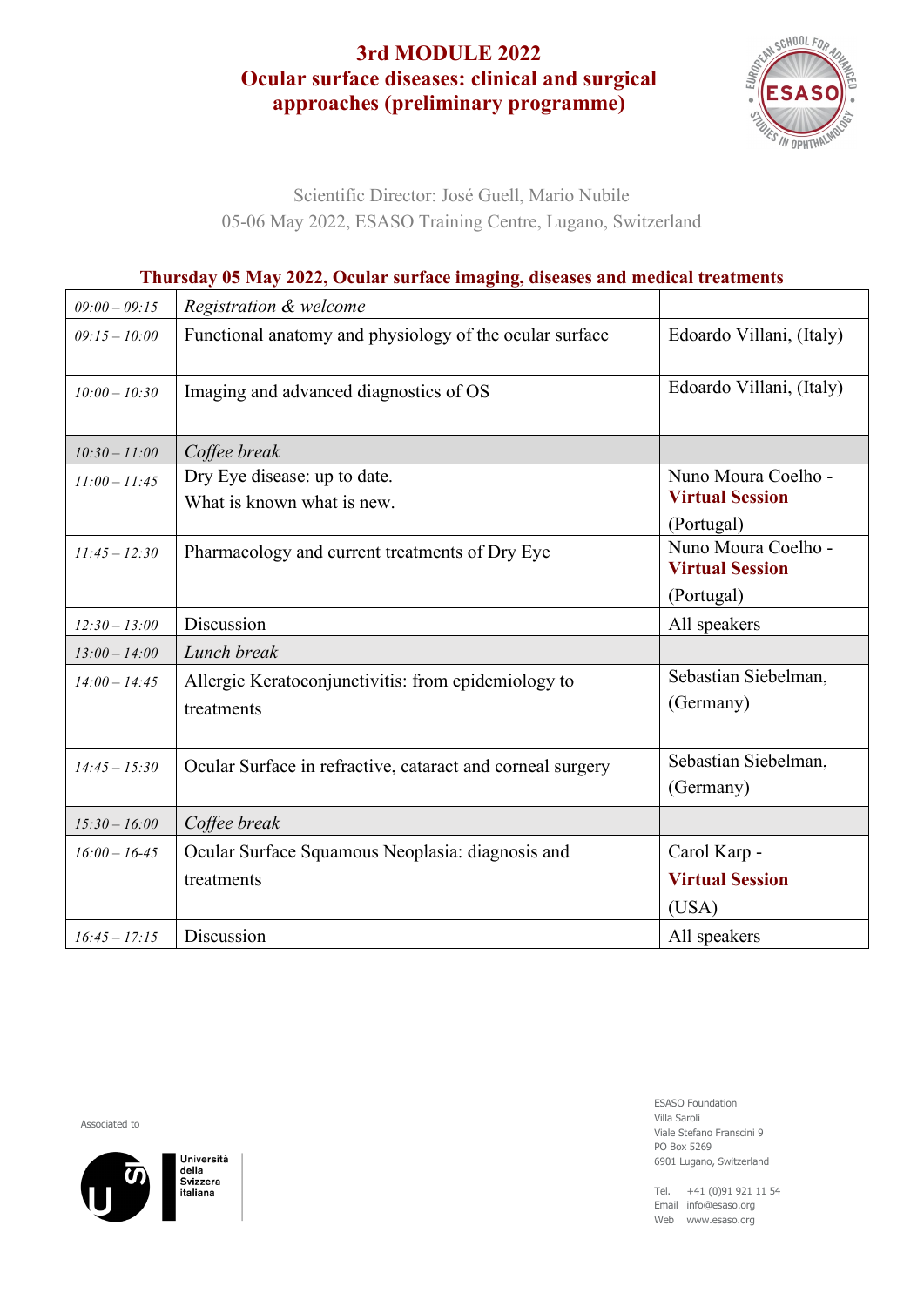## **3rd MODULE 2022 Ocular surface diseases: clinical and surgical approaches (preliminary programme)**



Scientific Director: José Guell, Mario Nubile 05-06 May 2022, ESASO Training Centre, Lugano, Switzerland

## **Thursday 05 May 2022, Ocular surface imaging, diseases and medical treatments**

| $09:00 - 09:15$ | Registration & welcome                                     |                                               |
|-----------------|------------------------------------------------------------|-----------------------------------------------|
| $09:15 - 10:00$ | Functional anatomy and physiology of the ocular surface    | Edoardo Villani, (Italy)                      |
| $10:00 - 10:30$ | Imaging and advanced diagnostics of OS                     | Edoardo Villani, (Italy)                      |
| $10:30 - 11:00$ | Coffee break                                               |                                               |
| $11:00 - 11:45$ | Dry Eye disease: up to date.                               | Nuno Moura Coelho -                           |
|                 | What is known what is new.                                 | <b>Virtual Session</b><br>(Portugal)          |
| $11:45 - 12:30$ | Pharmacology and current treatments of Dry Eye             | Nuno Moura Coelho -<br><b>Virtual Session</b> |
|                 |                                                            | (Portugal)                                    |
| $12:30 - 13:00$ | Discussion                                                 | All speakers                                  |
| $13:00 - 14:00$ | Lunch break                                                |                                               |
| $14:00 - 14:45$ | Allergic Keratoconjunctivitis: from epidemiology to        | Sebastian Siebelman,                          |
|                 | treatments                                                 | (Germany)                                     |
| $14:45 - 15:30$ | Ocular Surface in refractive, cataract and corneal surgery | Sebastian Siebelman,<br>(Germany)             |
|                 |                                                            |                                               |
| $15:30 - 16:00$ | Coffee break                                               |                                               |
| $16:00 - 16-45$ | Ocular Surface Squamous Neoplasia: diagnosis and           | Carol Karp -                                  |
|                 | treatments                                                 | <b>Virtual Session</b>                        |
|                 |                                                            | (USA)                                         |
| $16:45 - 17:15$ | Discussion                                                 | All speakers                                  |

Associated to



ESASO Foundation Villa Saroli Viale Stefano Franscini 9 PO Box 5269 6901 Lugano, Switzerland

Tel. +41 (0)91 921 11 54 Email info@esaso.org Web www.esaso.org